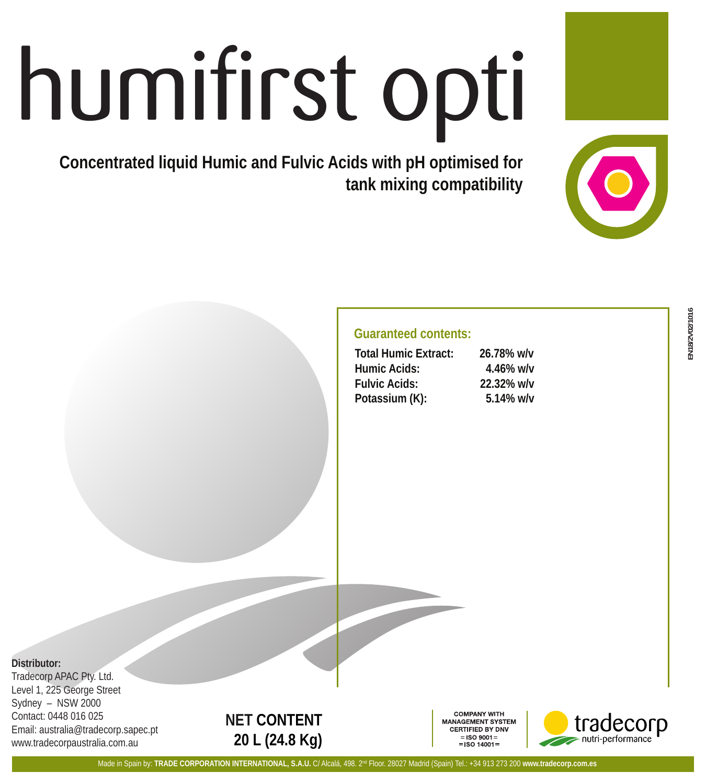# humifirst opti

**Concentrated liquid Humic and Fulvic Acids with pH optimised for tank mixing compatibility**

# **Guaranteed contents:**

| <b>Total Humic Extract:</b> | 26.78% w/v |
|-----------------------------|------------|
| Humic Acids:                | 4.46% w/v  |
| <b>Fulvic Acids:</b>        | 22.32% w/v |
| Potassium (K):              | 5.14% w/v  |

# **Distributor:**

Tradecorp APAC Pty. Ltd. Level 1, 225 George Street Sydney – NSW 2000 Contact: 0448 016 025 Email: australia@tradecorp.sapec.pt www.tradecorpaustralia.com.au

# **NET CONTENT 20 L (24.8 Kg)**

**COMPANY WITH ANAGEMENT SYSTEM** CERTIFIED BY DNV  $=$ ISO 9001 $=$  $=$  ISO 14001 $=$